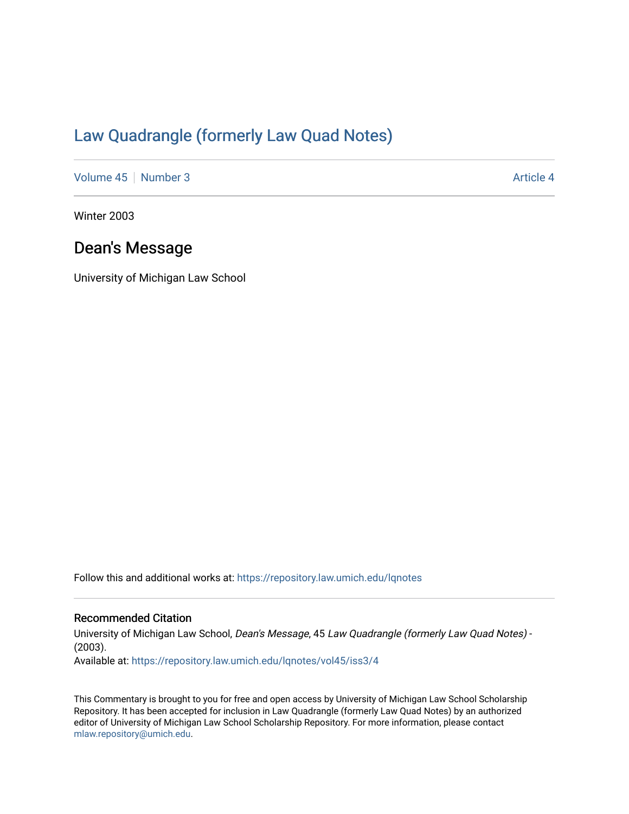## [Law Quadrangle \(formerly Law Quad Notes\)](https://repository.law.umich.edu/lqnotes)

[Volume 45](https://repository.law.umich.edu/lqnotes/vol45) [Number 3](https://repository.law.umich.edu/lqnotes/vol45/iss3) Article 4

Winter 2003

## Dean's Message

University of Michigan Law School

Follow this and additional works at: [https://repository.law.umich.edu/lqnotes](https://repository.law.umich.edu/lqnotes?utm_source=repository.law.umich.edu%2Flqnotes%2Fvol45%2Fiss3%2F4&utm_medium=PDF&utm_campaign=PDFCoverPages) 

## Recommended Citation

University of Michigan Law School, Dean's Message, 45 Law Quadrangle (formerly Law Quad Notes) - (2003). Available at: [https://repository.law.umich.edu/lqnotes/vol45/iss3/4](https://repository.law.umich.edu/lqnotes/vol45/iss3/4?utm_source=repository.law.umich.edu%2Flqnotes%2Fvol45%2Fiss3%2F4&utm_medium=PDF&utm_campaign=PDFCoverPages) 

This Commentary is brought to you for free and open access by University of Michigan Law School Scholarship Repository. It has been accepted for inclusion in Law Quadrangle (formerly Law Quad Notes) by an authorized editor of University of Michigan Law School Scholarship Repository. For more information, please contact [mlaw.repository@umich.edu.](mailto:mlaw.repository@umich.edu)